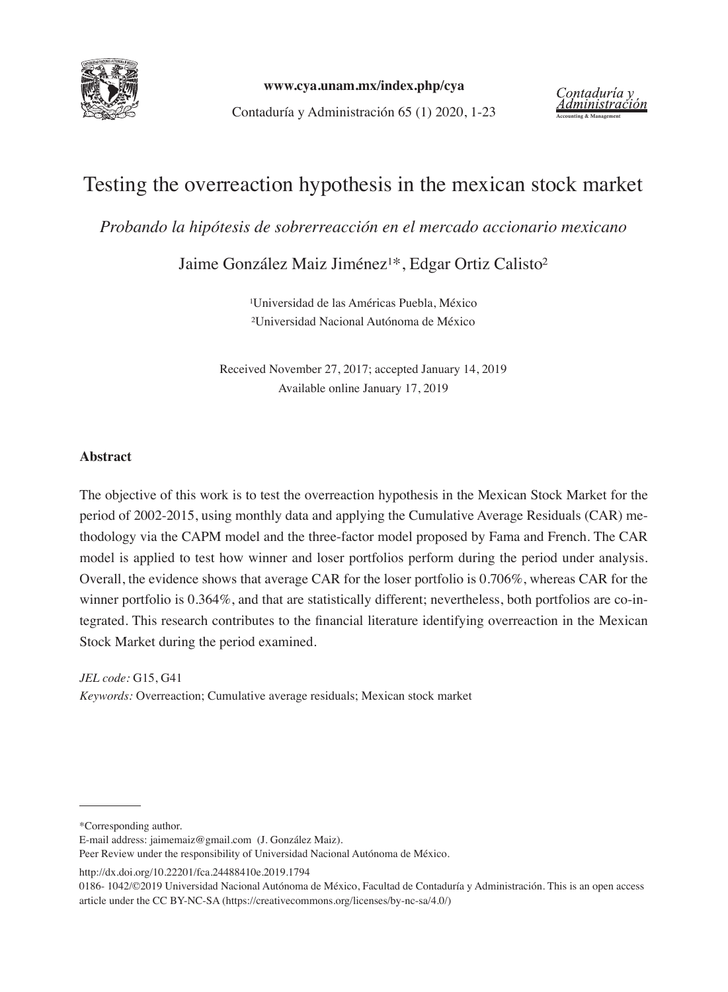

**www.cya.unam.mx/index.php/cya**

**Example 31 Accounting System Manufarity Contaduría y Contaduría y Contaduría y Administración**<br>Contaduría y Administración 65 (1) 2020, 1-23

# Testing the overreaction hypothesis in the mexican stock market

*Probando la hipótesis de sobrerreacción en el mercado accionario mexicano* 

Jaime González Maiz Jiménez<sup>1\*</sup>, Edgar Ortiz Calisto<sup>2</sup>

<sup>1</sup>Universidad de las Américas Puebla, México ²Universidad Nacional Autónoma de México

Received November 27, 2017; accepted January 14, 2019 Available online January 17, 2019

#### **Abstract**

The objective of this work is to test the overreaction hypothesis in the Mexican Stock Market for the period of 2002-2015, using monthly data and applying the Cumulative Average Residuals (CAR) methodology via the CAPM model and the three-factor model proposed by Fama and French. The CAR model is applied to test how winner and loser portfolios perform during the period under analysis. Overall, the evidence shows that average CAR for the loser portfolio is 0.706%, whereas CAR for the winner portfolio is 0.364%, and that are statistically different; nevertheless, both portfolios are co-integrated. This research contributes to the financial literature identifying overreaction in the Mexican Stock Market during the period examined.

*JEL code:* G15, G41 *Keywords:* Overreaction; Cumulative average residuals; Mexican stock market

\*Corresponding author.

E-mail address: jaimemaiz@gmail.com (J. González Maiz).

http://dx.doi.org/10.22201/fca.24488410e.2019.1794

Peer Review under the responsibility of Universidad Nacional Autónoma de México.

<sup>0186- 1042/©2019</sup> Universidad Nacional Autónoma de México, Facultad de Contaduría y Administración. This is an open access article under the CC BY-NC-SA (https://creativecommons.org/licenses/by-nc-sa/4.0/)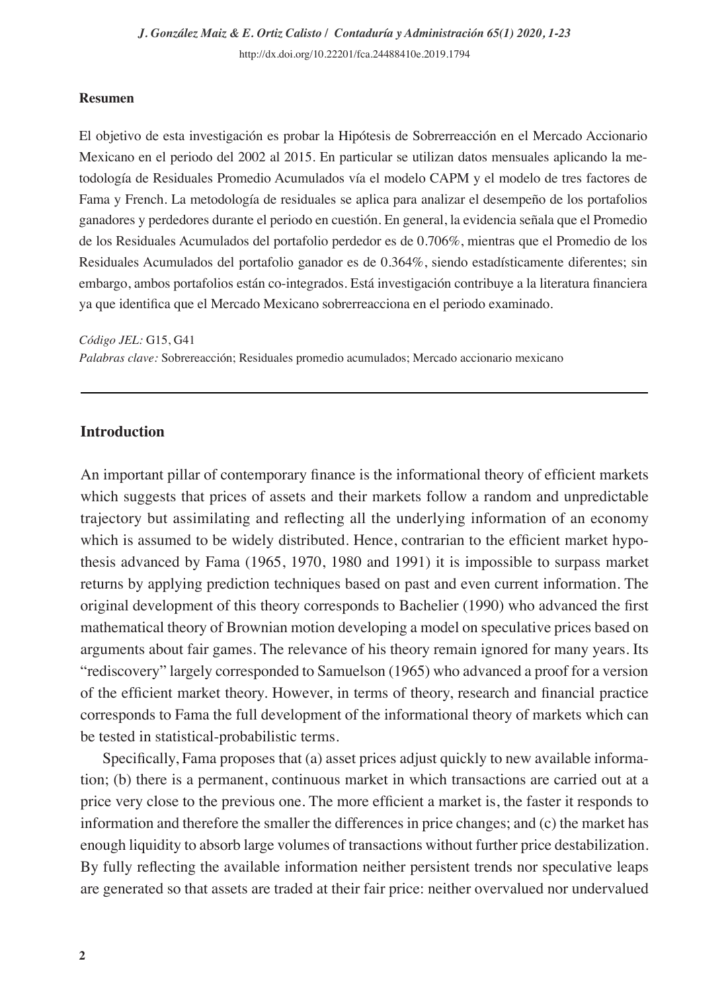#### **Resumen**

El objetivo de esta investigación es probar la Hipótesis de Sobrerreacción en el Mercado Accionario Mexicano en el periodo del 2002 al 2015. En particular se utilizan datos mensuales aplicando la metodología de Residuales Promedio Acumulados vía el modelo CAPM y el modelo de tres factores de Fama y French. La metodología de residuales se aplica para analizar el desempeño de los portafolios ganadores y perdedores durante el periodo en cuestión. En general, la evidencia señala que el Promedio de los Residuales Acumulados del portafolio perdedor es de 0.706%, mientras que el Promedio de los Residuales Acumulados del portafolio ganador es de 0.364%, siendo estadísticamente diferentes; sin embargo, ambos portafolios están co-integrados. Está investigación contribuye a la literatura financiera ya que identifica que el Mercado Mexicano sobrerreacciona en el periodo examinado.

*Código JEL:* G15, G41

*Palabras clave:* Sobrereacción; Residuales promedio acumulados; Mercado accionario mexicano

#### **Introduction**

An important pillar of contemporary finance is the informational theory of efficient markets which suggests that prices of assets and their markets follow a random and unpredictable trajectory but assimilating and reflecting all the underlying information of an economy which is assumed to be widely distributed. Hence, contrarian to the efficient market hypothesis advanced by Fama (1965, 1970, 1980 and 1991) it is impossible to surpass market returns by applying prediction techniques based on past and even current information. The original development of this theory corresponds to Bachelier (1990) who advanced the first mathematical theory of Brownian motion developing a model on speculative prices based on arguments about fair games. The relevance of his theory remain ignored for many years. Its "rediscovery" largely corresponded to Samuelson (1965) who advanced a proof for a version of the efficient market theory. However, in terms of theory, research and financial practice corresponds to Fama the full development of the informational theory of markets which can be tested in statistical-probabilistic terms.

Specifically, Fama proposes that (a) asset prices adjust quickly to new available information; (b) there is a permanent, continuous market in which transactions are carried out at a price very close to the previous one. The more efficient a market is, the faster it responds to information and therefore the smaller the differences in price changes; and (c) the market has enough liquidity to absorb large volumes of transactions without further price destabilization. By fully reflecting the available information neither persistent trends nor speculative leaps are generated so that assets are traded at their fair price: neither overvalued nor undervalued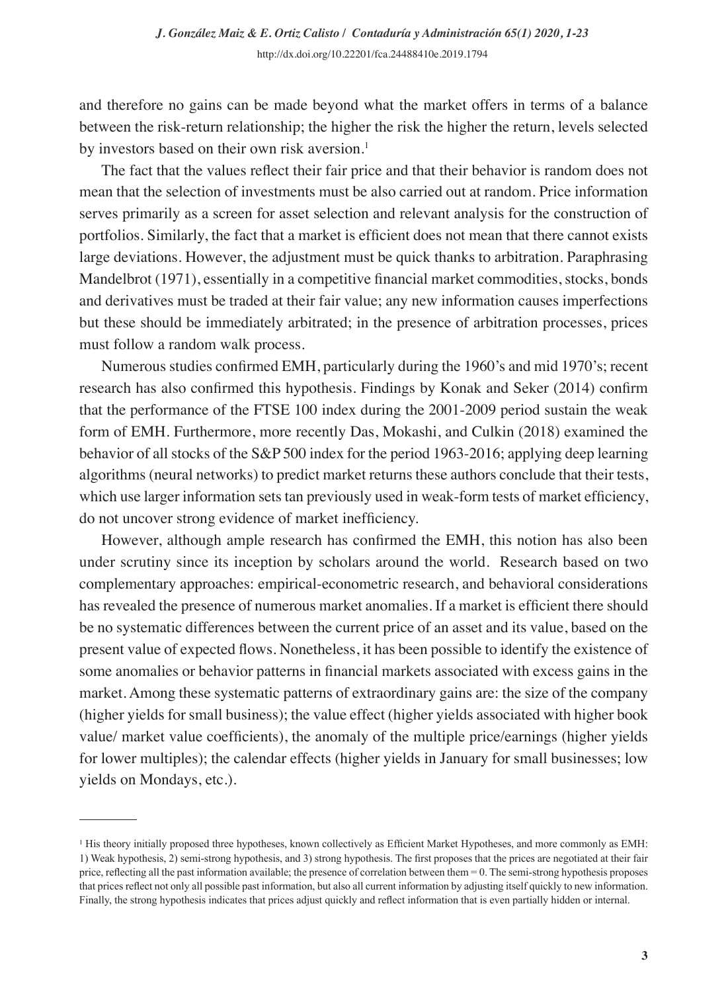and therefore no gains can be made beyond what the market offers in terms of a balance between the risk-return relationship; the higher the risk the higher the return, levels selected by investors based on their own risk aversion.<sup>1</sup>

The fact that the values reflect their fair price and that their behavior is random does not mean that the selection of investments must be also carried out at random. Price information serves primarily as a screen for asset selection and relevant analysis for the construction of portfolios. Similarly, the fact that a market is efficient does not mean that there cannot exists large deviations. However, the adjustment must be quick thanks to arbitration. Paraphrasing Mandelbrot (1971), essentially in a competitive financial market commodities, stocks, bonds and derivatives must be traded at their fair value; any new information causes imperfections but these should be immediately arbitrated; in the presence of arbitration processes, prices must follow a random walk process.

Numerous studies confirmed EMH, particularly during the 1960's and mid 1970's; recent research has also confirmed this hypothesis. Findings by Konak and Seker (2014) confirm that the performance of the FTSE 100 index during the 2001-2009 period sustain the weak form of EMH. Furthermore, more recently Das, Mokashi, and Culkin (2018) examined the behavior of all stocks of the S&P 500 index for the period 1963-2016; applying deep learning algorithms (neural networks) to predict market returns these authors conclude that their tests, which use larger information sets tan previously used in weak-form tests of market efficiency, do not uncover strong evidence of market inefficiency.

However, although ample research has confirmed the EMH, this notion has also been under scrutiny since its inception by scholars around the world. Research based on two complementary approaches: empirical-econometric research, and behavioral considerations has revealed the presence of numerous market anomalies. If a market is efficient there should be no systematic differences between the current price of an asset and its value, based on the present value of expected flows. Nonetheless, it has been possible to identify the existence of some anomalies or behavior patterns in financial markets associated with excess gains in the market. Among these systematic patterns of extraordinary gains are: the size of the company (higher yields for small business); the value effect (higher yields associated with higher book value/ market value coefficients), the anomaly of the multiple price/earnings (higher yields for lower multiples); the calendar effects (higher yields in January for small businesses; low yields on Mondays, etc.).

<sup>&</sup>lt;sup>1</sup> His theory initially proposed three hypotheses, known collectively as Efficient Market Hypotheses, and more commonly as EMH: 1) Weak hypothesis, 2) semi-strong hypothesis, and 3) strong hypothesis. The first proposes that the prices are negotiated at their fair price, reflecting all the past information available; the presence of correlation between them = 0. The semi-strong hypothesis proposes that prices reflect not only all possible past information, but also all current information by adjusting itself quickly to new information. Finally, the strong hypothesis indicates that prices adjust quickly and reflect information that is even partially hidden or internal.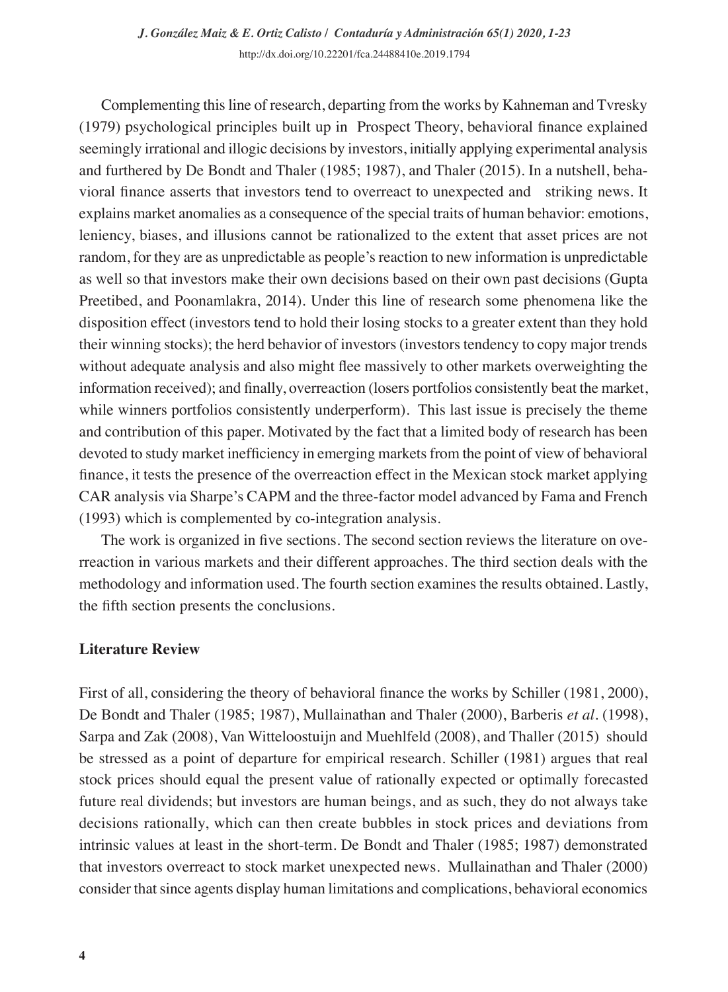Complementing this line of research, departing from the works by Kahneman and Tvresky (1979) psychological principles built up in Prospect Theory, behavioral finance explained seemingly irrational and illogic decisions by investors, initially applying experimental analysis and furthered by De Bondt and Thaler (1985; 1987), and Thaler (2015). In a nutshell, behavioral finance asserts that investors tend to overreact to unexpected and striking news. It explains market anomalies as a consequence of the special traits of human behavior: emotions, leniency, biases, and illusions cannot be rationalized to the extent that asset prices are not random, for they are as unpredictable as people's reaction to new information is unpredictable as well so that investors make their own decisions based on their own past decisions (Gupta Preetibed, and Poonamlakra, 2014). Under this line of research some phenomena like the disposition effect (investors tend to hold their losing stocks to a greater extent than they hold their winning stocks); the herd behavior of investors (investors tendency to copy major trends without adequate analysis and also might flee massively to other markets overweighting the information received); and finally, overreaction (losers portfolios consistently beat the market, while winners portfolios consistently underperform). This last issue is precisely the theme and contribution of this paper. Motivated by the fact that a limited body of research has been devoted to study market inefficiency in emerging markets from the point of view of behavioral finance, it tests the presence of the overreaction effect in the Mexican stock market applying CAR analysis via Sharpe's CAPM and the three-factor model advanced by Fama and French (1993) which is complemented by co-integration analysis.

The work is organized in five sections. The second section reviews the literature on overreaction in various markets and their different approaches. The third section deals with the methodology and information used. The fourth section examines the results obtained. Lastly, the fifth section presents the conclusions.

#### **Literature Review**

First of all, considering the theory of behavioral finance the works by Schiller (1981, 2000), De Bondt and Thaler (1985; 1987), Mullainathan and Thaler (2000), Barberis *et al*. (1998), Sarpa and Zak (2008), Van Witteloostuijn and Muehlfeld (2008), and Thaller (2015) should be stressed as a point of departure for empirical research. Schiller (1981) argues that real stock prices should equal the present value of rationally expected or optimally forecasted future real dividends; but investors are human beings, and as such, they do not always take decisions rationally, which can then create bubbles in stock prices and deviations from intrinsic values at least in the short-term. De Bondt and Thaler (1985; 1987) demonstrated that investors overreact to stock market unexpected news. Mullainathan and Thaler (2000) consider that since agents display human limitations and complications, behavioral economics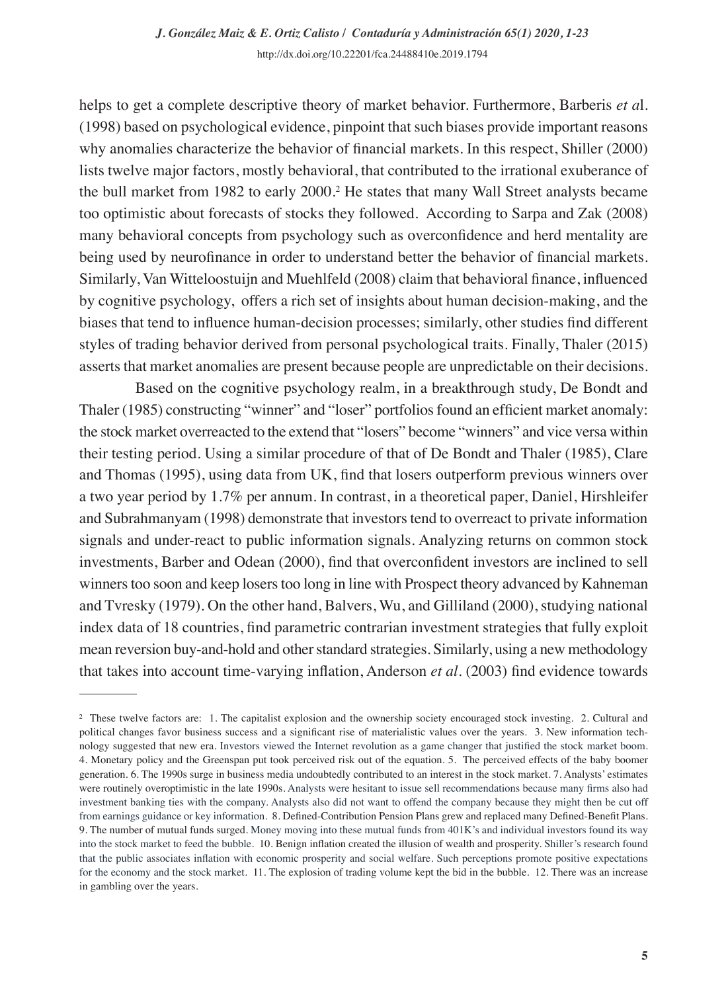helps to get a complete descriptive theory of market behavior. Furthermore, Barberis *et a*l. (1998) based on psychological evidence, pinpoint that such biases provide important reasons why anomalies characterize the behavior of financial markets. In this respect, Shiller (2000) lists twelve major factors, mostly behavioral, that contributed to the irrational exuberance of the bull market from 1982 to early 2000.<sup>2</sup> He states that many Wall Street analysts became too optimistic about forecasts of stocks they followed. According to Sarpa and Zak (2008) many behavioral concepts from psychology such as overconfidence and herd mentality are being used by neurofinance in order to understand better the behavior of financial markets. Similarly, Van Witteloostuijn and Muehlfeld (2008) claim that behavioral finance, influenced by cognitive psychology, offers a rich set of insights about human decision-making, and the biases that tend to influence human-decision processes; similarly, other studies find different styles of trading behavior derived from personal psychological traits. Finally, Thaler (2015) asserts that market anomalies are present because people are unpredictable on their decisions.

Based on the cognitive psychology realm, in a breakthrough study, De Bondt and Thaler (1985) constructing "winner" and "loser" portfolios found an efficient market anomaly: the stock market overreacted to the extend that "losers" become "winners" and vice versa within their testing period. Using a similar procedure of that of De Bondt and Thaler (1985), Clare and Thomas (1995), using data from UK, find that losers outperform previous winners over a two year period by 1.7% per annum. In contrast, in a theoretical paper, Daniel, Hirshleifer and Subrahmanyam (1998) demonstrate that investors tend to overreact to private information signals and under-react to public information signals. Analyzing returns on common stock investments, Barber and Odean (2000), find that overconfident investors are inclined to sell winners too soon and keep losers too long in line with Prospect theory advanced by Kahneman and Tvresky (1979). On the other hand, Balvers, Wu, and Gilliland (2000), studying national index data of 18 countries, find parametric contrarian investment strategies that fully exploit mean reversion buy-and-hold and other standard strategies. Similarly, using a new methodology that takes into account time-varying inflation, Anderson *et al*. (2003) find evidence towards

<sup>&</sup>lt;sup>2</sup> These twelve factors are: 1. The capitalist explosion and the ownership society encouraged stock investing. 2. Cultural and political changes favor business success and a significant rise of materialistic values over the years. 3. New information technology suggested that new era. Investors viewed the Internet revolution as a game changer that justified the stock market boom. 4. Monetary policy and the Greenspan put took perceived risk out of the equation. 5. The perceived effects of the baby boomer generation. 6. The 1990s surge in business media undoubtedly contributed to an interest in the stock market. 7. Analysts' estimates were routinely overoptimistic in the late 1990s. Analysts were hesitant to issue sell recommendations because many firms also had investment banking ties with the company. Analysts also did not want to offend the company because they might then be cut off from earnings guidance or key information. 8. Defined-Contribution Pension Plans grew and replaced many Defined-Benefit Plans. 9. The number of mutual funds surged. Money moving into these mutual funds from 401K's and individual investors found its way into the stock market to feed the bubble. 10. Benign inflation created the illusion of wealth and prosperity. Shiller's research found that the public associates inflation with economic prosperity and social welfare. Such perceptions promote positive expectations for the economy and the stock market. 11. The explosion of trading volume kept the bid in the bubble. 12. There was an increase in gambling over the years.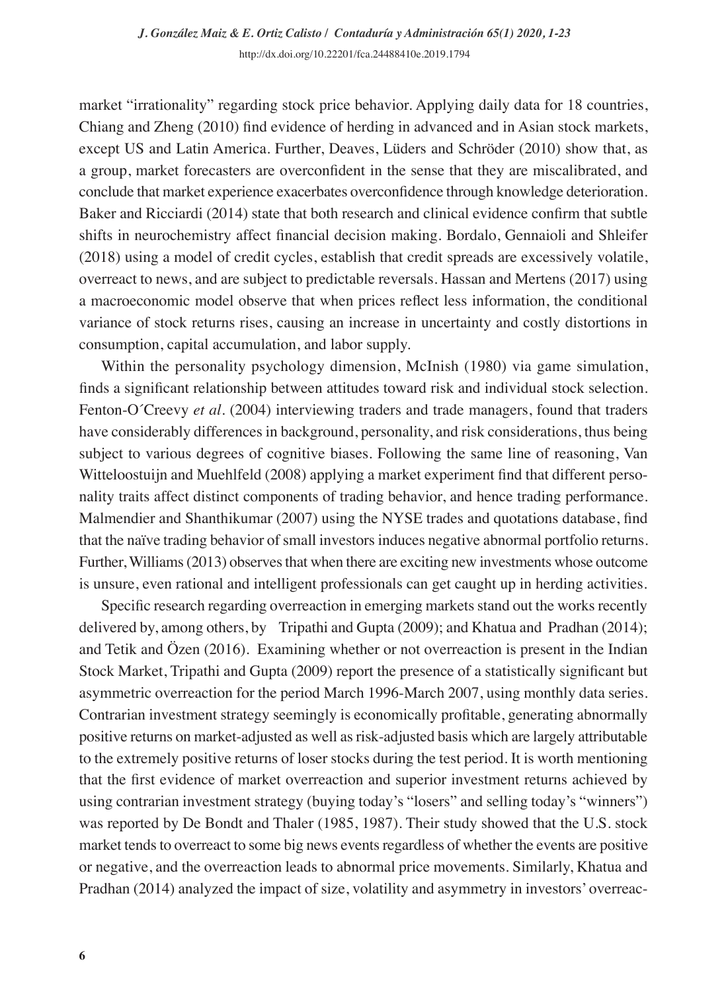market "irrationality" regarding stock price behavior. Applying daily data for 18 countries, Chiang and Zheng (2010) find evidence of herding in advanced and in Asian stock markets, except US and Latin America. Further, Deaves, Lüders and Schröder (2010) show that, as a group, market forecasters are overconfident in the sense that they are miscalibrated, and conclude that market experience exacerbates overconfidence through knowledge deterioration. Baker and Ricciardi (2014) state that both research and clinical evidence confirm that subtle shifts in neurochemistry affect financial decision making. Bordalo, Gennaioli and Shleifer (2018) using a model of credit cycles, establish that credit spreads are excessively volatile, overreact to news, and are subject to predictable reversals. Hassan and Mertens (2017) using a macroeconomic model observe that when prices reflect less information, the conditional variance of stock returns rises, causing an increase in uncertainty and costly distortions in consumption, capital accumulation, and labor supply.

Within the personality psychology dimension, McInish (1980) via game simulation, finds a significant relationship between attitudes toward risk and individual stock selection. Fenton-O´Creevy *et al*. (2004) interviewing traders and trade managers, found that traders have considerably differences in background, personality, and risk considerations, thus being subject to various degrees of cognitive biases. Following the same line of reasoning, Van Witteloostuijn and Muehlfeld (2008) applying a market experiment find that different personality traits affect distinct components of trading behavior, and hence trading performance. Malmendier and Shanthikumar (2007) using the NYSE trades and quotations database, find that the naïve trading behavior of small investors induces negative abnormal portfolio returns. Further, Williams (2013) observes that when there are exciting new investments whose outcome is unsure, even rational and intelligent professionals can get caught up in herding activities.

Specific research regarding overreaction in emerging markets stand out the works recently delivered by, among others, by Tripathi and Gupta (2009); and Khatua and Pradhan (2014); and Tetik and Özen (2016). Examining whether or not overreaction is present in the Indian Stock Market, Tripathi and Gupta (2009) report the presence of a statistically significant but asymmetric overreaction for the period March 1996-March 2007, using monthly data series. Contrarian investment strategy seemingly is economically profitable, generating abnormally positive returns on market-adjusted as well as risk-adjusted basis which are largely attributable to the extremely positive returns of loser stocks during the test period. It is worth mentioning that the first evidence of market overreaction and superior investment returns achieved by using contrarian investment strategy (buying today's "losers" and selling today's "winners") was reported by De Bondt and Thaler (1985, 1987). Their study showed that the U.S. stock market tends to overreact to some big news events regardless of whether the events are positive or negative, and the overreaction leads to abnormal price movements. Similarly, Khatua and Pradhan (2014) analyzed the impact of size, volatility and asymmetry in investors' overreac-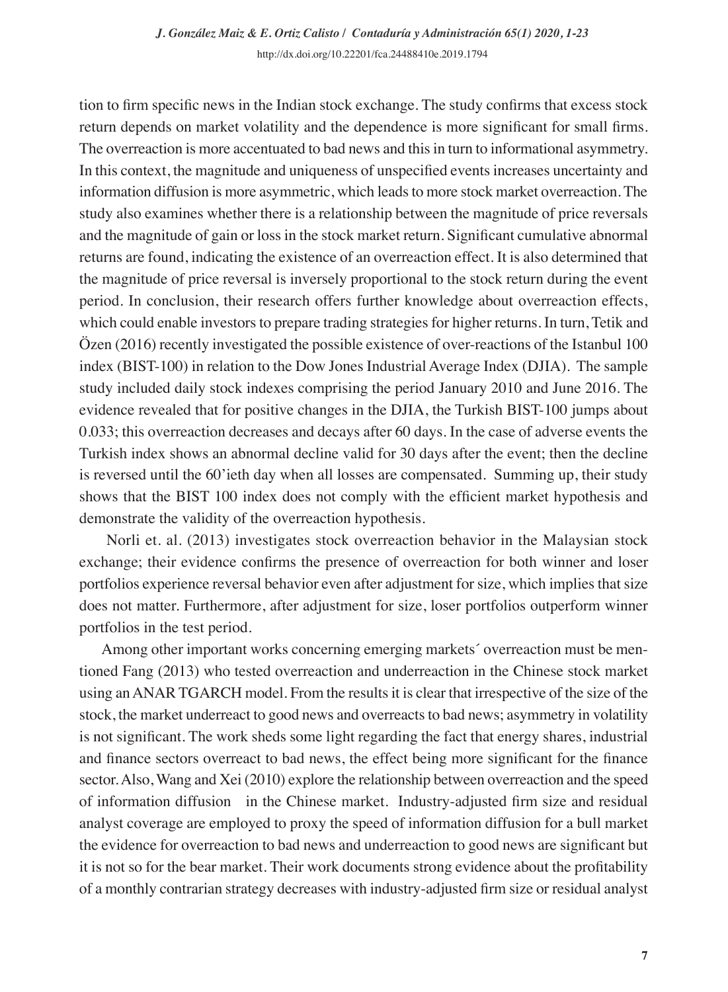tion to firm specific news in the Indian stock exchange. The study confirms that excess stock return depends on market volatility and the dependence is more significant for small firms. The overreaction is more accentuated to bad news and this in turn to informational asymmetry. In this context, the magnitude and uniqueness of unspecified events increases uncertainty and information diffusion is more asymmetric, which leads to more stock market overreaction. The study also examines whether there is a relationship between the magnitude of price reversals and the magnitude of gain or loss in the stock market return. Significant cumulative abnormal returns are found, indicating the existence of an overreaction effect. It is also determined that the magnitude of price reversal is inversely proportional to the stock return during the event period. In conclusion, their research offers further knowledge about overreaction effects, which could enable investors to prepare trading strategies for higher returns. In turn, Tetik and Özen (2016) recently investigated the possible existence of over-reactions of the Istanbul 100 index (BIST-100) in relation to the Dow Jones Industrial Average Index (DJIA). The sample study included daily stock indexes comprising the period January 2010 and June 2016. The evidence revealed that for positive changes in the DJIA, the Turkish BIST-100 jumps about 0.033; this overreaction decreases and decays after 60 days. In the case of adverse events the Turkish index shows an abnormal decline valid for 30 days after the event; then the decline is reversed until the 60'ieth day when all losses are compensated. Summing up, their study shows that the BIST 100 index does not comply with the efficient market hypothesis and demonstrate the validity of the overreaction hypothesis.

 Norli et. al. (2013) investigates stock overreaction behavior in the Malaysian stock exchange; their evidence confirms the presence of overreaction for both winner and loser portfolios experience reversal behavior even after adjustment for size, which implies that size does not matter. Furthermore, after adjustment for size, loser portfolios outperform winner portfolios in the test period.

Among other important works concerning emerging markets´ overreaction must be mentioned Fang (2013) who tested overreaction and underreaction in the Chinese stock market using an ANAR TGARCH model. From the results it is clear that irrespective of the size of the stock, the market underreact to good news and overreacts to bad news; asymmetry in volatility is not significant. The work sheds some light regarding the fact that energy shares, industrial and finance sectors overreact to bad news, the effect being more significant for the finance sector. Also, Wang and Xei (2010) explore the relationship between overreaction and the speed of information diffusion in the Chinese market. Industry-adjusted firm size and residual analyst coverage are employed to proxy the speed of information diffusion for a bull market the evidence for overreaction to bad news and underreaction to good news are significant but it is not so for the bear market. Their work documents strong evidence about the profitability of a monthly contrarian strategy decreases with industry-adjusted firm size or residual analyst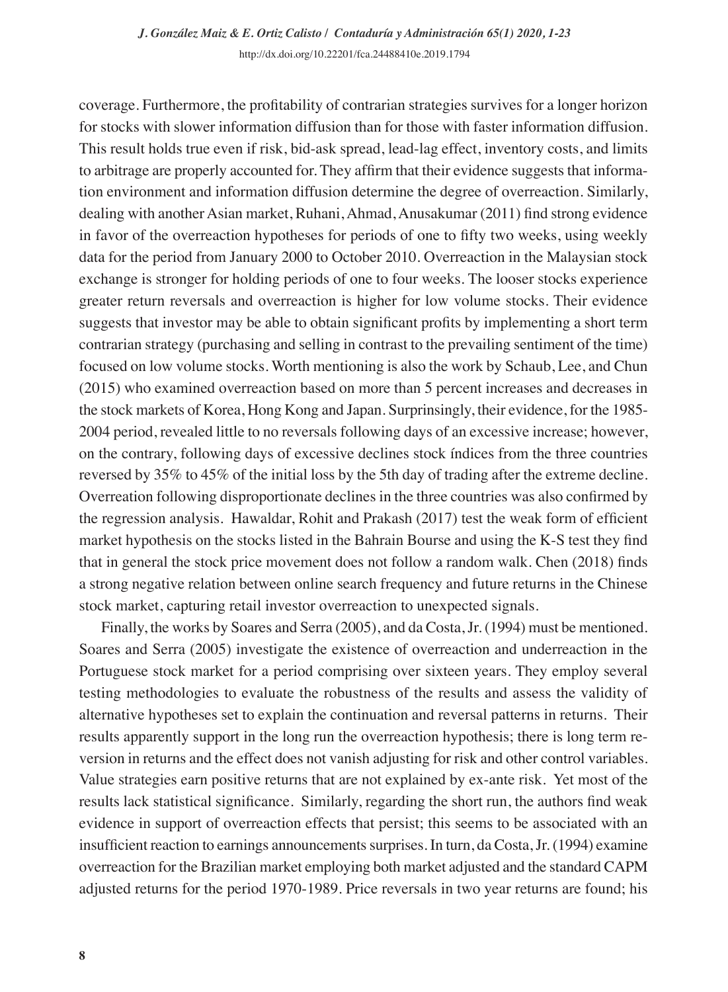coverage. Furthermore, the profitability of contrarian strategies survives for a longer horizon for stocks with slower information diffusion than for those with faster information diffusion. This result holds true even if risk, bid-ask spread, lead-lag effect, inventory costs, and limits to arbitrage are properly accounted for. They affirm that their evidence suggests that information environment and information diffusion determine the degree of overreaction. Similarly, dealing with another Asian market, Ruhani, Ahmad, Anusakumar (2011) find strong evidence in favor of the overreaction hypotheses for periods of one to fifty two weeks, using weekly data for the period from January 2000 to October 2010. Overreaction in the Malaysian stock exchange is stronger for holding periods of one to four weeks. The looser stocks experience greater return reversals and overreaction is higher for low volume stocks. Their evidence suggests that investor may be able to obtain significant profits by implementing a short term contrarian strategy (purchasing and selling in contrast to the prevailing sentiment of the time) focused on low volume stocks. Worth mentioning is also the work by Schaub, Lee, and Chun (2015) who examined overreaction based on more than 5 percent increases and decreases in the stock markets of Korea, Hong Kong and Japan. Surprinsingly, their evidence, for the 1985- 2004 period, revealed little to no reversals following days of an excessive increase; however, on the contrary, following days of excessive declines stock índices from the three countries reversed by 35% to 45% of the initial loss by the 5th day of trading after the extreme decline. Overreation following disproportionate declines in the three countries was also confirmed by the regression analysis. Hawaldar, Rohit and Prakash (2017) test the weak form of efficient market hypothesis on the stocks listed in the Bahrain Bourse and using the K-S test they find that in general the stock price movement does not follow a random walk. Chen (2018) finds a strong negative relation between online search frequency and future returns in the Chinese stock market, capturing retail investor overreaction to unexpected signals.

Finally, the works by Soares and Serra (2005), and da Costa, Jr. (1994) must be mentioned. Soares and Serra (2005) investigate the existence of overreaction and underreaction in the Portuguese stock market for a period comprising over sixteen years. They employ several testing methodologies to evaluate the robustness of the results and assess the validity of alternative hypotheses set to explain the continuation and reversal patterns in returns. Their results apparently support in the long run the overreaction hypothesis; there is long term reversion in returns and the effect does not vanish adjusting for risk and other control variables. Value strategies earn positive returns that are not explained by ex-ante risk. Yet most of the results lack statistical significance. Similarly, regarding the short run, the authors find weak evidence in support of overreaction effects that persist; this seems to be associated with an insufficient reaction to earnings announcements surprises. In turn, da Costa, Jr. (1994) examine overreaction for the Brazilian market employing both market adjusted and the standard CAPM adjusted returns for the period 1970-1989. Price reversals in two year returns are found; his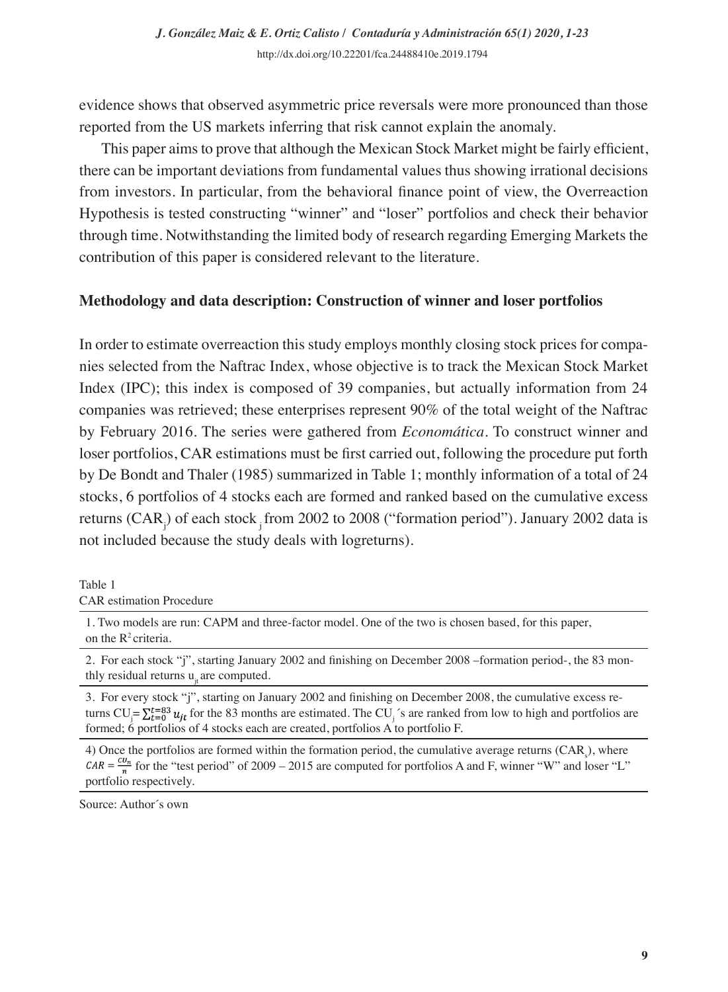evidence shows that observed asymmetric price reversals were more pronounced than those reported from the US markets inferring that risk cannot explain the anomaly.

This paper aims to prove that although the Mexican Stock Market might be fairly efficient, there can be important deviations from fundamental values thus showing irrational decisions from investors. In particular, from the behavioral finance point of view, the Overreaction Hypothesis is tested constructing "winner" and "loser" portfolios and check their behavior through time. Notwithstanding the limited body of research regarding Emerging Markets the contribution of this paper is considered relevant to the literature.

# **Methodology and data description: Construction of winner and loser portfolios**

In order to estimate overreaction this study employs monthly closing stock prices for companies selected from the Naftrac Index, whose objective is to track the Mexican Stock Market Index (IPC); this index is composed of 39 companies, but actually information from 24 companies was retrieved; these enterprises represent 90% of the total weight of the Naftrac by February 2016. The series were gathered from *Economática*. To construct winner and loser portfolios, CAR estimations must be first carried out, following the procedure put forth by De Bondt and Thaler (1985) summarized in Table 1; monthly information of a total of 24 stocks, 6 portfolios of 4 stocks each are formed and ranked based on the cumulative excess returns (CAR<sub>j</sub>) of each stock <sub>j</sub> from 2002 to 2008 ("formation period"). January 2002 data is not included because the study deals with logreturns).

Table 1

CAR estimation Procedure

1. Two models are run: CAPM and three-factor model. One of the two is chosen based, for this paper, on the  $R^2$  criteria.

2. For each stock "j", starting January 2002 and finishing on December 2008 –formation period-, the 83 monthly residual returns  $u_i$  are computed.

3. For every stock "j", starting on January 2002 and finishing on December 2008, the cumulative excess returns  $CU_j = \sum_{t=0}^{t=8} u_{jt}$  for the 83 months are estimated. The CU<sub>j</sub>'s are ranked from low to high and portfolios are formed; 6 portfolios of 4 stocks each are created, portfolios A to portfolio F.

4) Once the portfolios are formed within the formation period, the cumulative average returns (CAR<sub>s</sub>), where  $CAR = \frac{cu_n}{n}$  for the "test period" of 2009 – 2015 are computed for portfolios A and F, winner "W" and loser "L" portfolio respectively.

Source: Author´s own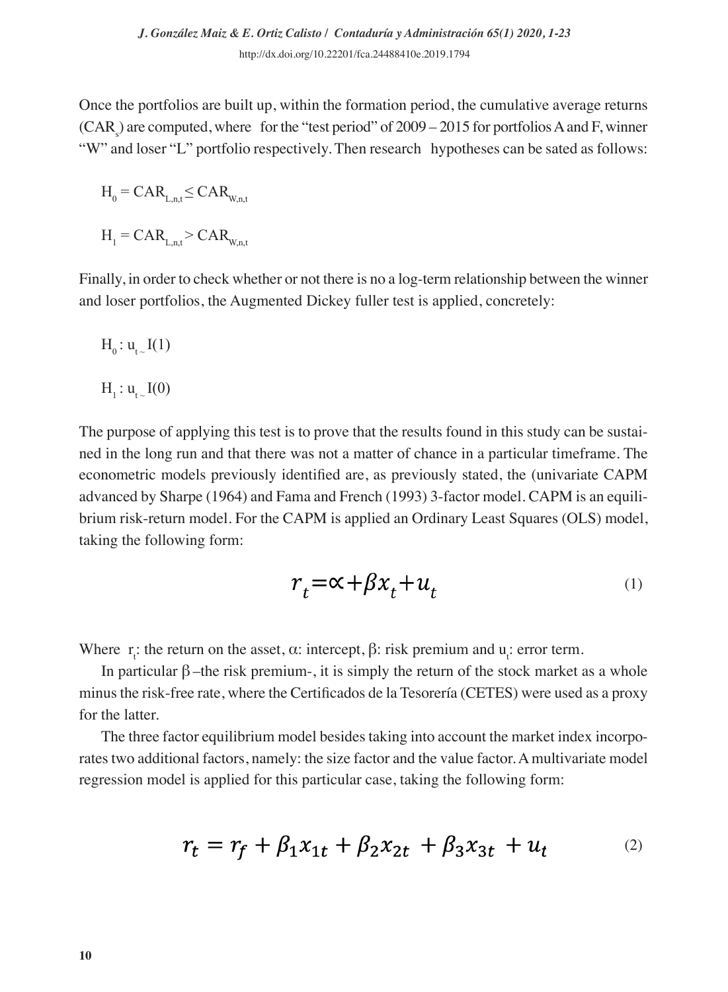Once the portfolios are built up, within the formation period, the cumulative average returns  $(CAR<sub>s</sub>)$  are computed, where for the "test period" of 2009 – 2015 for portfolios A and F, winner "W" and loser "L" portfolio respectively. Then research hypotheses can be sated as follows:

$$
H_0 = CAR_{L,n,t} \leq CAR_{W,n,t}
$$

 $H_1 = CAR_{L,n,t} > CAR_{W,n,t}$ 

Finally, in order to check whether or not there is no a log-term relationship between the winner and loser portfolios, the Augmented Dickey fuller test is applied, concretely:

$$
H_{_0}\colon u_{_{t_\sim}}I(1)
$$

$$
H_1: u_{t-1}(0)
$$

The purpose of applying this test is to prove that the results found in this study can be sustained in the long run and that there was not a matter of chance in a particular timeframe. The econometric models previously identified are, as previously stated, the (univariate CAPM advanced by Sharpe (1964) and Fama and French (1993) 3-factor model. CAPM is an equilibrium risk-return model. For the CAPM is applied an Ordinary Least Squares (OLS) model, taking the following form:

$$
r_t = \alpha + \beta x_t + u_t \tag{1}
$$

Where  $r_i$ : the return on the asset,  $\alpha$ : intercept,  $\beta$ : risk premium and  $u_i$ : error term.

In particular  $β$  –the risk premium-, it is simply the return of the stock market as a whole minus the risk-free rate, where the Certificados de la Tesorería (CETES) were used as a proxy for the latter.

The three factor equilibrium model besides taking into account the market index incorporates two additional factors, namely: the size factor and the value factor. A multivariate model regression model is applied for this particular case, taking the following form:

$$
r_t = r_f + \beta_1 x_{1t} + \beta_2 x_{2t} + \beta_3 x_{3t} + u_t
$$
 (2)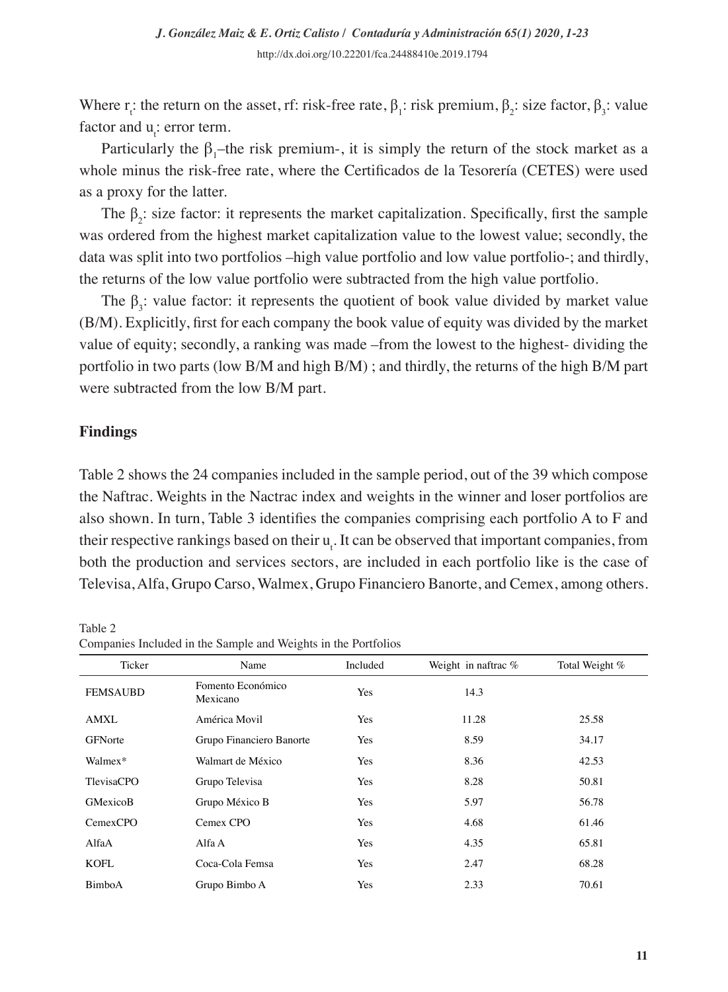Where  $r_i$ : the return on the asset, rf: risk-free rate,  $\beta_1$ : risk premium,  $\beta_2$ : size factor,  $\beta_3$ : value factor and  $u_t$ : error term.

Particularly the  $\beta_1$ -the risk premium-, it is simply the return of the stock market as a whole minus the risk-free rate, where the Certificados de la Tesorería (CETES) were used as a proxy for the latter.

The  $\beta_2$ : size factor: it represents the market capitalization. Specifically, first the sample was ordered from the highest market capitalization value to the lowest value; secondly, the data was split into two portfolios –high value portfolio and low value portfolio-; and thirdly, the returns of the low value portfolio were subtracted from the high value portfolio.

The  $\beta_3$ : value factor: it represents the quotient of book value divided by market value (B/M). Explicitly, first for each company the book value of equity was divided by the market value of equity; secondly, a ranking was made –from the lowest to the highest- dividing the portfolio in two parts (low B/M and high B/M) ; and thirdly, the returns of the high B/M part were subtracted from the low B/M part.

# **Findings**

Table 2 shows the 24 companies included in the sample period, out of the 39 which compose the Naftrac. Weights in the Nactrac index and weights in the winner and loser portfolios are also shown. In turn, Table 3 identifies the companies comprising each portfolio A to F and their respective rankings based on their  $u_t$ . It can be observed that important companies, from both the production and services sectors, are included in each portfolio like is the case of Televisa, Alfa, Grupo Carso, Walmex, Grupo Financiero Banorte, and Cemex, among others.

Table 2 Companies Included in the Sample and Weights in the Portfolios

| Ticker          | Name                          | Included | Weight in naftrac % | Total Weight % |
|-----------------|-------------------------------|----------|---------------------|----------------|
| <b>FEMSAUBD</b> | Fomento Económico<br>Mexicano | Yes      | 14.3                |                |
| <b>AMXL</b>     | América Movil                 | Yes      | 11.28               | 25.58          |
| <b>GFNorte</b>  | Grupo Financiero Banorte      | Yes      | 8.59                | 34.17          |
| Walmex*         | Walmart de México             | Yes      | 8.36                | 42.53          |
| TlevisaCPO      | Grupo Televisa                | Yes      | 8.28                | 50.81          |
| GMexicoB        | Grupo México B                | Yes      | 5.97                | 56.78          |
| CemexCPO        | Cemex CPO                     | Yes      | 4.68                | 61.46          |
| AlfaA           | Alfa A                        | Yes      | 4.35                | 65.81          |
| KOFL            | Coca-Cola Femsa               | Yes      | 2.47                | 68.28          |
| <b>BimboA</b>   | Grupo Bimbo A                 | Yes      | 2.33                | 70.61          |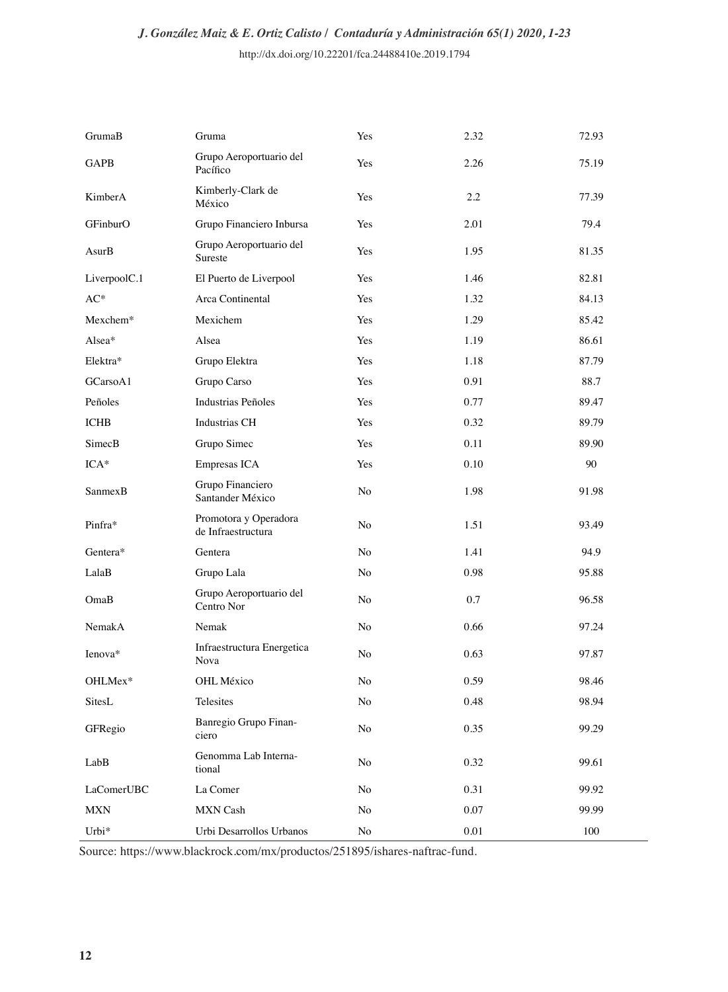| GrumaB       | Gruma                                       | Yes            | 2.32 | 72.93 |
|--------------|---------------------------------------------|----------------|------|-------|
| <b>GAPB</b>  | Grupo Aeroportuario del<br>Pacífico         | Yes            | 2.26 | 75.19 |
| KimberA      | Kimberly-Clark de<br>México                 | Yes            | 2.2  | 77.39 |
| GFinburO     | Grupo Financiero Inbursa                    | Yes            | 2.01 | 79.4  |
| AsurB        | Grupo Aeroportuario del<br>Sureste          | Yes            | 1.95 | 81.35 |
| LiverpoolC.1 | El Puerto de Liverpool                      | Yes            | 1.46 | 82.81 |
| $\rm AC^*$   | Arca Continental                            | Yes            | 1.32 | 84.13 |
| Mexchem*     | Mexichem                                    | Yes            | 1.29 | 85.42 |
| Alsea*       | Alsea                                       | Yes            | 1.19 | 86.61 |
| Elektra*     | Grupo Elektra                               | <b>Yes</b>     | 1.18 | 87.79 |
| GCarsoA1     | Grupo Carso                                 | Yes            | 0.91 | 88.7  |
| Peñoles      | <b>Industrias Peñoles</b>                   | Yes            | 0.77 | 89.47 |
| <b>ICHB</b>  | <b>Industrias CH</b>                        | Yes            | 0.32 | 89.79 |
| SimecB       | Grupo Simec                                 | Yes            | 0.11 | 89.90 |
| $ICA*$       | Empresas ICA                                | Yes            | 0.10 | 90    |
| SanmexB      | Grupo Financiero<br>Santander México        | No             | 1.98 | 91.98 |
| Pinfra*      | Promotora y Operadora<br>de Infraestructura | N <sub>o</sub> | 1.51 | 93.49 |
| Gentera*     | Gentera                                     | N <sub>o</sub> | 1.41 | 94.9  |
| LalaB        | Grupo Lala                                  | N <sub>o</sub> | 0.98 | 95.88 |
| OmaB         | Grupo Aeroportuario del<br>Centro Nor       | N <sub>o</sub> | 0.7  | 96.58 |
| NemakA       | Nemak                                       | No             | 0.66 | 97.24 |
| Ienova*      | Infraestructura Energetica<br>Nova          | N <sub>o</sub> | 0.63 | 97.87 |
| OHLMex*      | <b>OHL México</b>                           | N <sub>o</sub> | 0.59 | 98.46 |
| SitesL       | Telesites                                   | No             | 0.48 | 98.94 |
| GFRegio      | Banregio Grupo Finan-<br>ciero              | No             | 0.35 | 99.29 |
| LabB         | Genomma Lab Interna-<br>tional              | No             | 0.32 | 99.61 |
| LaComerUBC   | La Comer                                    | No             | 0.31 | 99.92 |
| <b>MXN</b>   | <b>MXN</b> Cash                             | No             | 0.07 | 99.99 |
| Urbi*        | Urbi Desarrollos Urbanos                    | No             | 0.01 | 100   |

Source: https://www.blackrock.com/mx/productos/251895/ishares-naftrac-fund.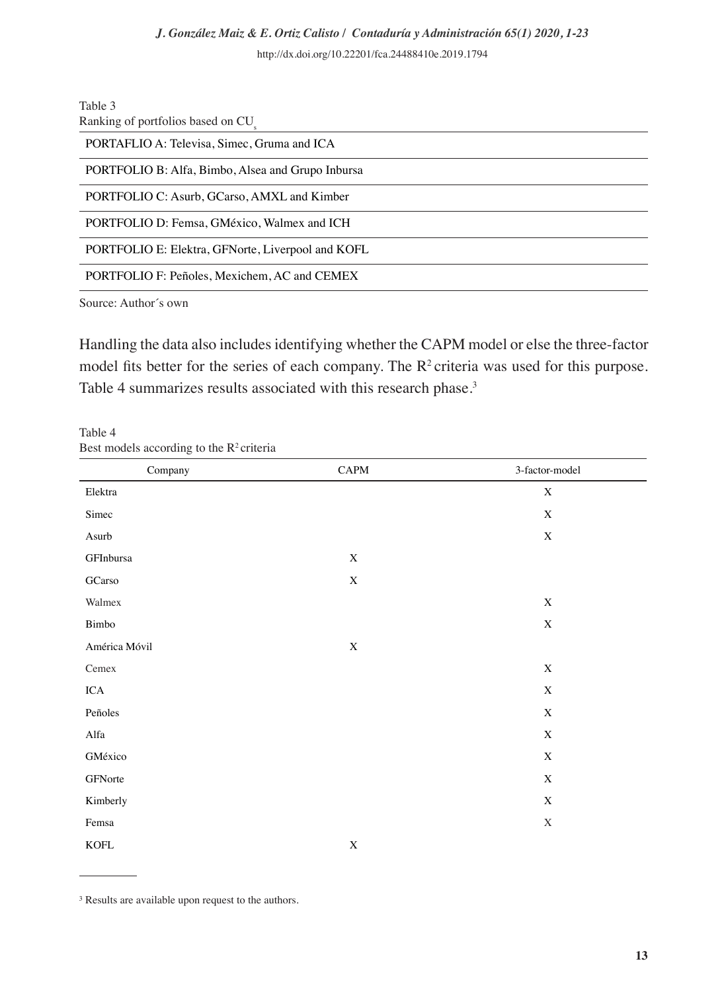Table 3

| Ranking of portfolios based on CU                 |
|---------------------------------------------------|
| PORTAFLIO A: Televisa, Simec, Gruma and ICA       |
| PORTFOLIO B: Alfa, Bimbo, Alsea and Grupo Inbursa |
| PORTFOLIO C: Asurb, GCarso, AMXL and Kimber       |
| PORTFOLIO D: Femsa, GMéxico, Walmex and ICH       |
| PORTFOLIO E: Elektra, GFNorte, Liverpool and KOFL |
| PORTFOLIO F: Peñoles, Mexichem, AC and CEMEX      |
| $\gamma$                                          |

Source: Author´s own

Handling the data also includes identifying whether the CAPM model or else the three-factor model fits better for the series of each company. The  $R^2$  criteria was used for this purpose. Table 4 summarizes results associated with this research phase.<sup>3</sup>

| $\tilde{\phantom{a}}$ |             |                |
|-----------------------|-------------|----------------|
| Company               | CAPM        | 3-factor-model |
| Elektra               |             | $\mathbf X$    |
| Simec                 |             | $\mathbf X$    |
| Asurb                 |             | $\mathbf X$    |
| GFInbursa             | $\mathbf X$ |                |
| GCarso                | $\mathbf X$ |                |
| Walmex                |             | $\mathbf X$    |
| Bimbo                 |             | $\mathbf X$    |
| América Móvil         | $\mathbf X$ |                |
| Cemex                 |             | $\mathbf X$    |
| ICA                   |             | $\mathbf X$    |
| Peñoles               |             | $\mathbf X$    |
| Alfa                  |             | $\mathbf X$    |
| GMéxico               |             | $\mathbf X$    |
| GFNorte               |             | $\mathbf X$    |
| Kimberly              |             | $\mathbf X$    |
| Femsa                 |             | $\mathbf X$    |
| <b>KOFL</b>           | $\mathbf X$ |                |

Table 4 Best models according to the  $R<sup>2</sup>$  criteria

<sup>3</sup> Results are available upon request to the authors.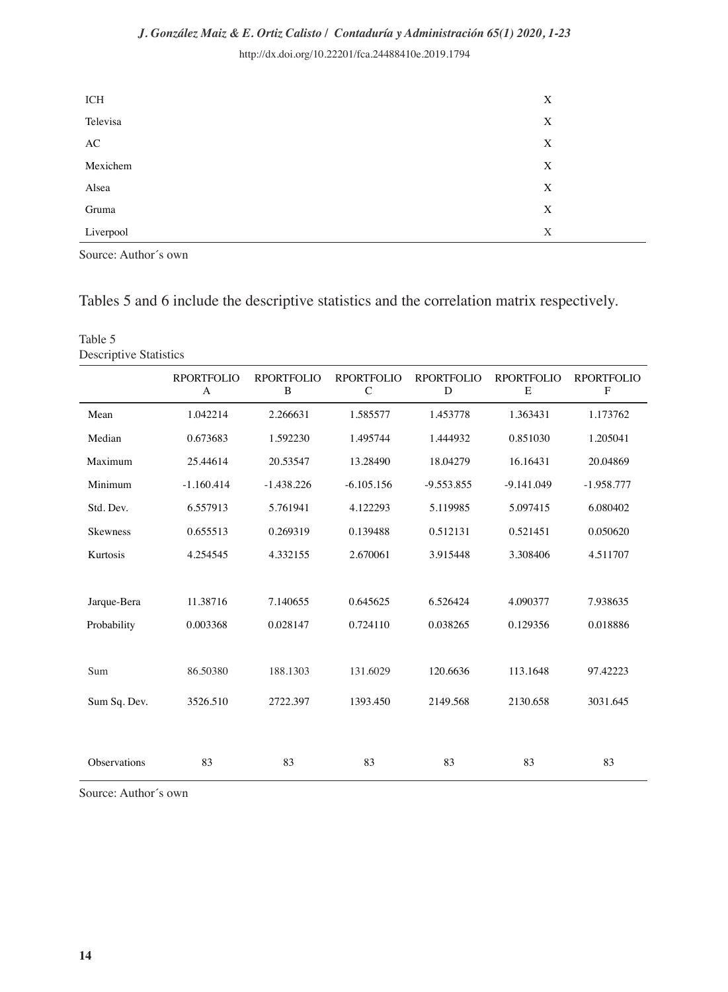# *J. González Maiz & E. Ortiz Calisto / Contaduría y Administración 65(1) 2020, 1-23*

http://dx.doi.org/10.22201/fca.24488410e.2019.1794

| ICH       | X |
|-----------|---|
| Televisa  | X |
| AC        | X |
| Mexichem  | X |
| Alsea     | X |
| Gruma     | X |
| Liverpool | X |

Source: Author´s own

# Tables 5 and 6 include the descriptive statistics and the correlation matrix respectively.

| Table 5<br><b>Descriptive Statistics</b> |                        |                               |                                   |                 |                        |                                  |
|------------------------------------------|------------------------|-------------------------------|-----------------------------------|-----------------|------------------------|----------------------------------|
|                                          | <b>RPORTFOLIO</b><br>A | <b>RPORTFOLIO</b><br>$\bf{B}$ | <b>RPORTFOLIO</b><br>$\mathsf{C}$ | RPORTFOLIO<br>D | <b>RPORTFOLIO</b><br>E | <b>RPORTFOLIO</b><br>$\mathbf F$ |
| Mean                                     | 1.042214               | 2.266631                      | 1.585577                          | 1.453778        | 1.363431               | 1.173762                         |
| Median                                   | 0.673683               | 1.592230                      | 1.495744                          | 1.444932        | 0.851030               | 1.205041                         |
| Maximum                                  | 25.44614               | 20.53547                      | 13.28490                          | 18.04279        | 16.16431               | 20.04869                         |
| Minimum                                  | $-1.160.414$           | $-1.438.226$                  | $-6.105.156$                      | $-9.553.855$    | $-9.141.049$           | $-1.958.777$                     |
| Std. Dev.                                | 6.557913               | 5.761941                      | 4.122293                          | 5.119985        | 5.097415               | 6.080402                         |
| <b>Skewness</b>                          | 0.655513               | 0.269319                      | 0.139488                          | 0.512131        | 0.521451               | 0.050620                         |
| Kurtosis                                 | 4.254545               | 4.332155                      | 2.670061                          | 3.915448        | 3.308406               | 4.511707                         |
| Jarque-Bera                              | 11.38716               | 7.140655                      | 0.645625                          | 6.526424        | 4.090377               | 7.938635                         |
| Probability                              | 0.003368               | 0.028147                      | 0.724110                          | 0.038265        | 0.129356               | 0.018886                         |
| Sum                                      | 86.50380               | 188.1303                      | 131.6029                          | 120.6636        | 113.1648               | 97.42223                         |
| Sum Sq. Dev.                             | 3526.510               | 2722.397                      | 1393.450                          | 2149.568        | 2130.658               | 3031.645                         |
|                                          |                        |                               |                                   |                 |                        |                                  |
| Observations                             | 83                     | 83                            | 83                                | 83              | 83                     | 83                               |

Source: Author´s own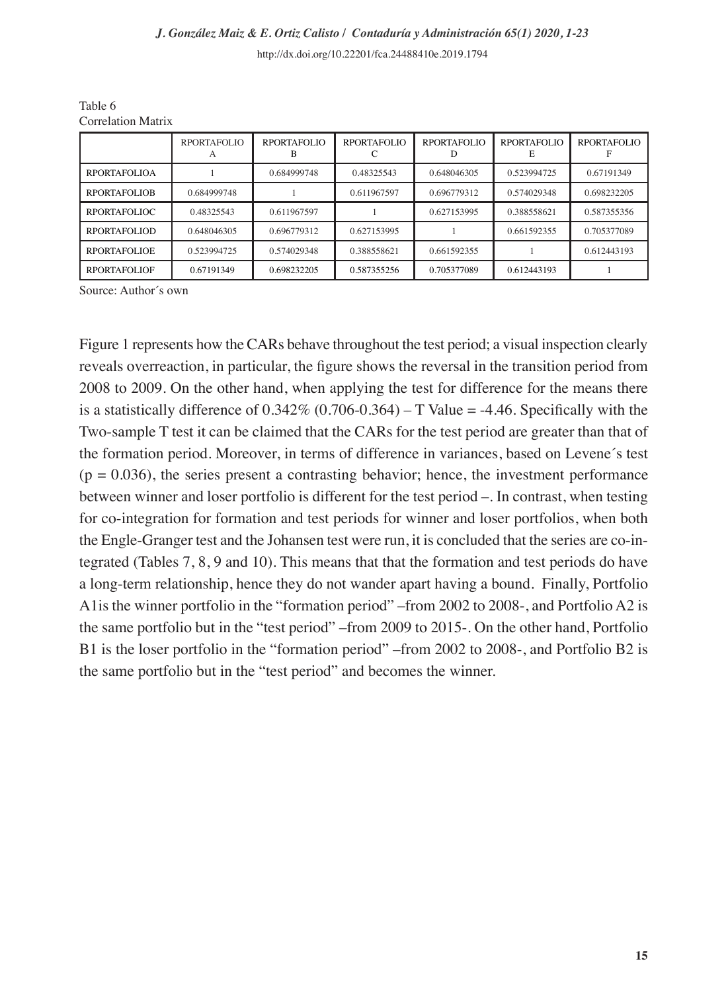|                     | <b>RPORTAFOLIO</b> | <b>RPORTAFOLIO</b> | <b>RPORTAFOLIO</b> | <b>RPORTAFOLIO</b> | <b>RPORTAFOLIO</b> | <b>RPORTAFOLIO</b> |
|---------------------|--------------------|--------------------|--------------------|--------------------|--------------------|--------------------|
| <b>RPORTAFOLIOA</b> |                    | 0.684999748        | 0.48325543         | 0.648046305        | 0.523994725        | 0.67191349         |
| <b>RPORTAFOLIOB</b> | 0.684999748        |                    | 0.611967597        | 0.696779312        | 0.574029348        | 0.698232205        |
| RPORTAFOLIOC        | 0.48325543         | 0.611967597        |                    | 0.627153995        | 0.388558621        | 0.587355356        |
| RPORTAFOLIOD        | 0.648046305        | 0.696779312        | 0.627153995        |                    | 0.661592355        | 0.705377089        |
| RPORTAFOLIOE        | 0.523994725        | 0.574029348        | 0.388558621        | 0.661592355        |                    | 0.612443193        |
| <b>RPORTAFOLIOF</b> | 0.67191349         | 0.698232205        | 0.587355256        | 0.705377089        | 0.612443193        |                    |

Table 6 Correlation Matrix

Source: Author´s own

Figure 1 represents how the CARs behave throughout the test period; a visual inspection clearly reveals overreaction, in particular, the figure shows the reversal in the transition period from 2008 to 2009. On the other hand, when applying the test for difference for the means there is a statistically difference of  $0.342\%$  (0.706-0.364) – T Value = -4.46. Specifically with the Two-sample T test it can be claimed that the CARs for the test period are greater than that of the formation period. Moreover, in terms of difference in variances, based on Levene´s test  $(p = 0.036)$ , the series present a contrasting behavior; hence, the investment performance between winner and loser portfolio is different for the test period –. In contrast, when testing for co-integration for formation and test periods for winner and loser portfolios, when both the Engle-Granger test and the Johansen test were run, it is concluded that the series are co-integrated (Tables 7, 8, 9 and 10). This means that that the formation and test periods do have a long-term relationship, hence they do not wander apart having a bound. Finally, Portfolio A1is the winner portfolio in the "formation period" –from 2002 to 2008-, and Portfolio A2 is the same portfolio but in the "test period" –from 2009 to 2015-. On the other hand, Portfolio B1 is the loser portfolio in the "formation period" –from 2002 to 2008-, and Portfolio B2 is the same portfolio but in the "test period" and becomes the winner.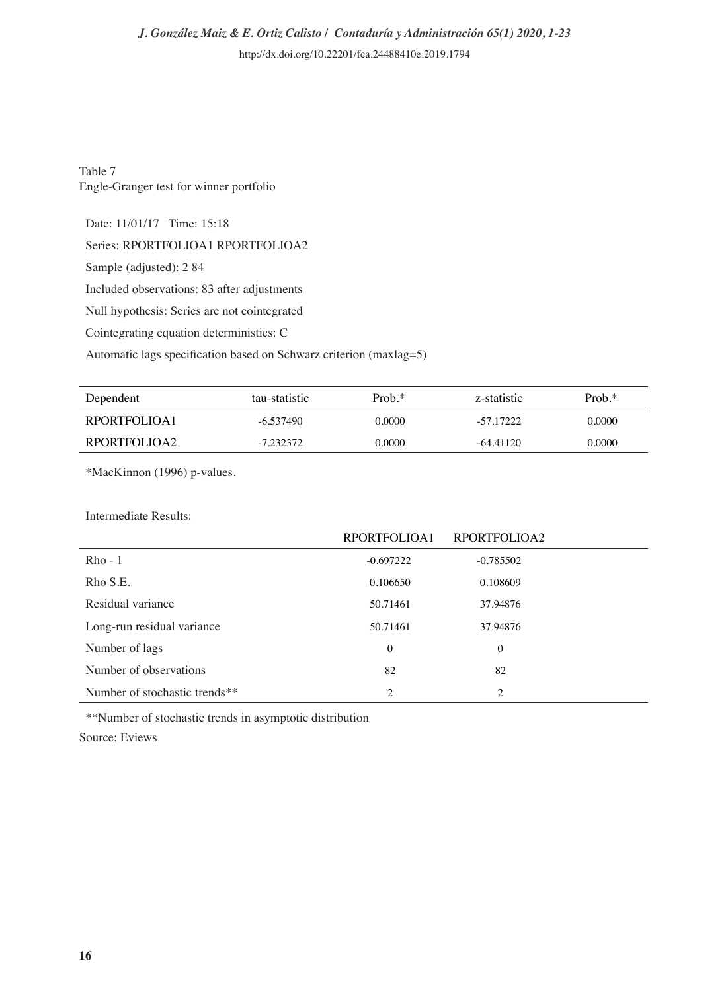Table 7 Engle-Granger test for winner portfolio

Date: 11/01/17 Time: 15:18

Series: RPORTFOLIOA1 RPORTFOLIOA2

Sample (adjusted): 2 84

Included observations: 83 after adjustments

Null hypothesis: Series are not cointegrated

Cointegrating equation deterministics: C

Automatic lags specification based on Schwarz criterion (maxlag=5)

| Dependent    | tau-statistic | $Prob.*$ | z-statistic | $Prob.*$ |
|--------------|---------------|----------|-------------|----------|
| RPORTFOLIOA1 | $-6.537490$   | 0.0000   | $-57.17222$ | 0.0000   |
| RPORTFOLIOA2 | $-7.232372$   | 0.0000   | $-64.41120$ | 0.0000   |

\*MacKinnon (1996) p-values.

Intermediate Results:

|                               | RPORTFOLIOA1   | RPORTFOLIOA2 |  |
|-------------------------------|----------------|--------------|--|
| $Rho - 1$                     | $-0.697222$    | $-0.785502$  |  |
| Rho S.E.                      | 0.106650       | 0.108609     |  |
| Residual variance             | 50.71461       | 37.94876     |  |
| Long-run residual variance    | 50.71461       | 37.94876     |  |
| Number of lags                | $\mathbf{0}$   | 0            |  |
| Number of observations        | 82             | 82           |  |
| Number of stochastic trends** | $\overline{c}$ | 2            |  |

\*\*Number of stochastic trends in asymptotic distribution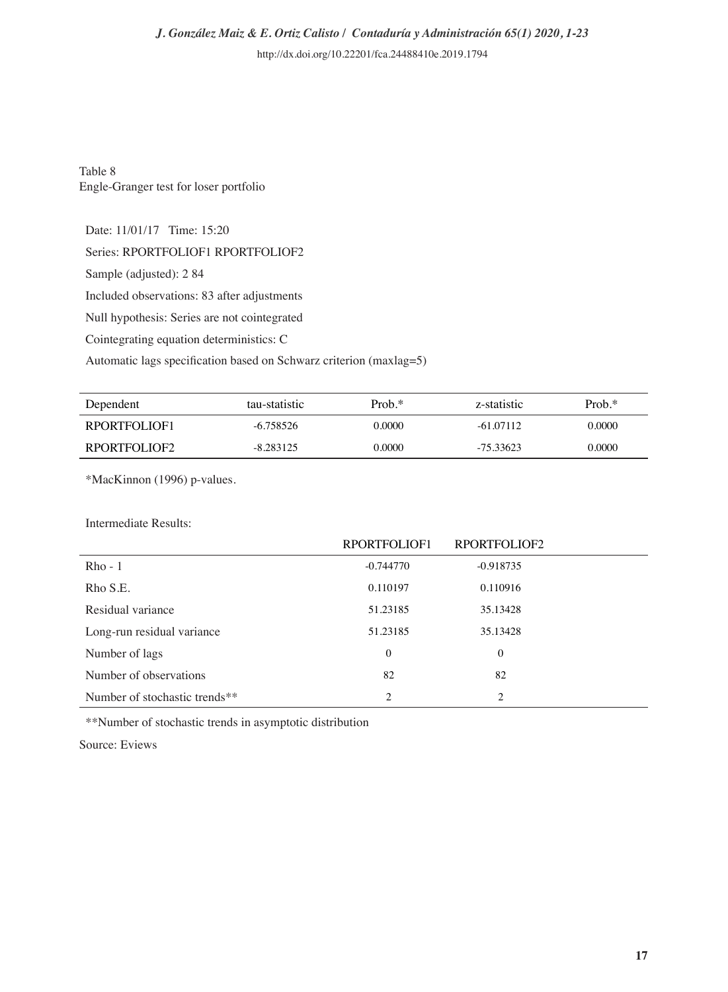Table 8 Engle-Granger test for loser portfolio

Date: 11/01/17 Time: 15:20

Series: RPORTFOLIOF1 RPORTFOLIOF2

Sample (adjusted): 2 84

Included observations: 83 after adjustments

Null hypothesis: Series are not cointegrated

Cointegrating equation deterministics: C

Automatic lags specification based on Schwarz criterion (maxlag=5)

| Dependent    | tau-statistic | $Prob.*$ | z-statistic | $Prob.*$ |
|--------------|---------------|----------|-------------|----------|
| RPORTFOLIOF1 | $-6.758526$   | 0.0000   | $-61.07112$ | 0.0000   |
| RPORTFOLIOF2 | $-8.283125$   | 0.0000   | $-75.33623$ | 0.0000   |

\*MacKinnon (1996) p-values.

Intermediate Results:

|                               | RPORTFOLIOF1   | RPORTFOLIOF2 |  |
|-------------------------------|----------------|--------------|--|
| $Rho - 1$                     | $-0.744770$    | $-0.918735$  |  |
| Rho S.E.                      | 0.110197       | 0.110916     |  |
| Residual variance             | 51.23185       | 35.13428     |  |
| Long-run residual variance    | 51.23185       | 35.13428     |  |
| Number of lags                | $\mathbf{0}$   | $\mathbf{0}$ |  |
| Number of observations        | 82             | 82           |  |
| Number of stochastic trends** | $\overline{c}$ | 2            |  |

\*\*Number of stochastic trends in asymptotic distribution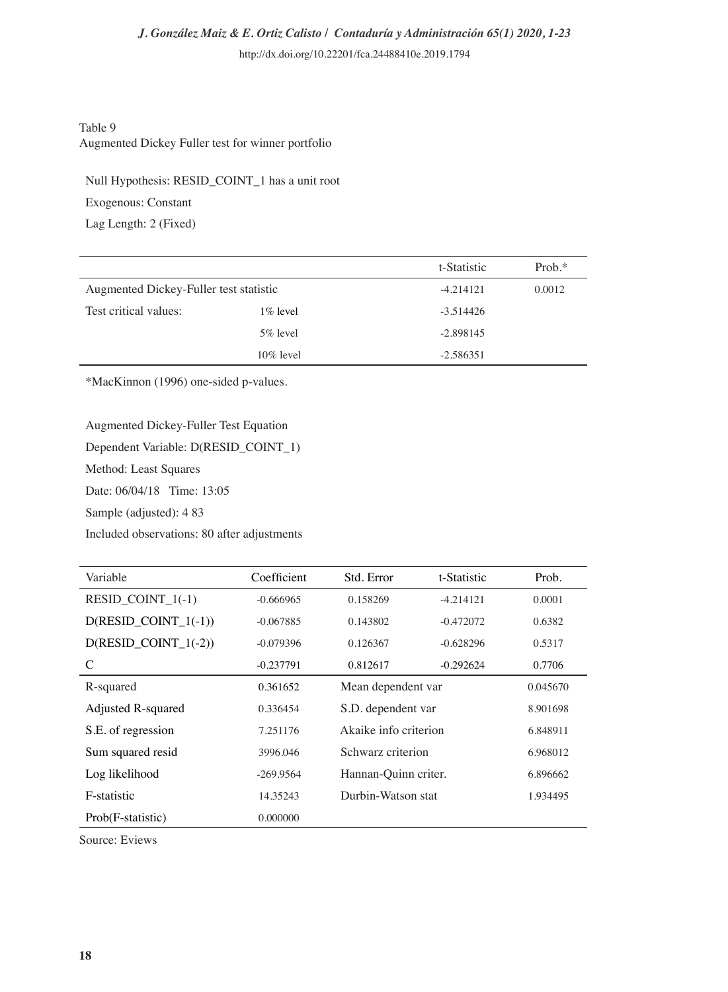#### Table 9 Augmented Dickey Fuller test for winner portfolio

Null Hypothesis: RESID\_COINT\_1 has a unit root

Exogenous: Constant

Lag Length: 2 (Fixed)

|                                        |              | t-Statistic | $Prob.*$ |
|----------------------------------------|--------------|-------------|----------|
| Augmented Dickey-Fuller test statistic |              | $-4.214121$ | 0.0012   |
| Test critical values:                  | $1\%$ level  | $-3.514426$ |          |
|                                        | $5\%$ level  | $-2.898145$ |          |
|                                        | $10\%$ level | $-2.586351$ |          |

\*MacKinnon (1996) one-sided p-values.

Augmented Dickey-Fuller Test Equation

Dependent Variable: D(RESID\_COINT\_1)

Method: Least Squares

Date: 06/04/18 Time: 13:05

Sample (adjusted): 4 83

Included observations: 80 after adjustments

| Variable                  | Coefficient | Std. Error           | t-Statistic           | Prob.    |
|---------------------------|-------------|----------------------|-----------------------|----------|
| RESID COINT $1(-1)$       | $-0.666965$ | 0.158269             | $-4.214121$           | 0.0001   |
| $D(RESID$ COINT $1(-1)$ ) | $-0.067885$ | 0.143802             | $-0.472072$           | 0.6382   |
| $D(RESID$ COINT $1(-2)$ ) | $-0.079396$ | 0.126367             | $-0.628296$           | 0.5317   |
| C                         | $-0.237791$ | 0.812617             | $-0.292624$           | 0.7706   |
| R-squared                 | 0.361652    |                      | Mean dependent var    |          |
| Adjusted R-squared        | 0.336454    |                      | S.D. dependent var    |          |
| S.E. of regression        | 7.251176    |                      | Akaike info criterion |          |
| Sum squared resid         | 3996.046    | Schwarz criterion    |                       | 6.968012 |
| Log likelihood            | $-269.9564$ | Hannan-Quinn criter. |                       | 6.896662 |
| F-statistic               | 14.35243    | Durbin-Watson stat   |                       | 1.934495 |
| Prob(F-statistic)         | 0.000000    |                      |                       |          |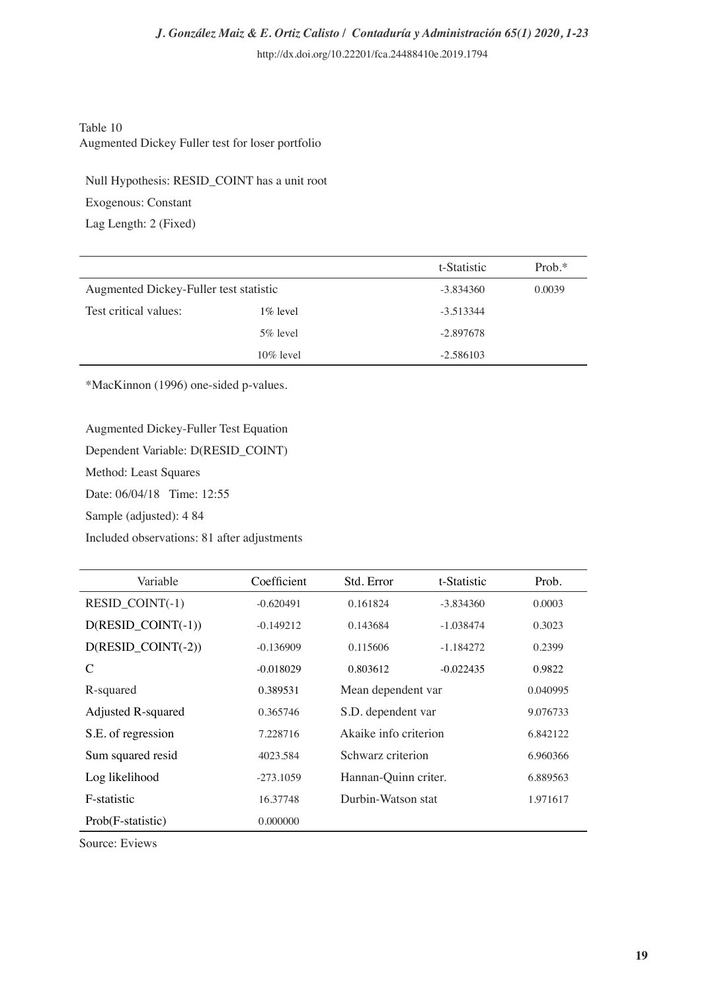#### Table 10 Augmented Dickey Fuller test for loser portfolio

Null Hypothesis: RESID\_COINT has a unit root

Exogenous: Constant

Lag Length: 2 (Fixed)

|                                        |              | t-Statistic | $Prob.*$ |
|----------------------------------------|--------------|-------------|----------|
| Augmented Dickey-Fuller test statistic |              | $-3.834360$ | 0.0039   |
| Test critical values:                  | $1\%$ level  | $-3.513344$ |          |
|                                        | $5\%$ level  | $-2.897678$ |          |
|                                        | $10\%$ level | $-2.586103$ |          |

\*MacKinnon (1996) one-sided p-values.

#### Augmented Dickey-Fuller Test Equation

Dependent Variable: D(RESID\_COINT)

Method: Least Squares

Date: 06/04/18 Time: 12:55

Sample (adjusted): 4 84

Included observations: 81 after adjustments

| Variable              | Coefficient | Std. Error           | t-Statistic           | Prob.    |
|-----------------------|-------------|----------------------|-----------------------|----------|
| $RESID$ COINT $(-1)$  | $-0.620491$ | 0.161824             | $-3.834360$           | 0.0003   |
| $D(RESID$ $CONT(-1))$ | $-0.149212$ | 0.143684             | $-1.038474$           | 0.3023   |
| $D(RESID$ $CONT(-2))$ | $-0.136909$ | 0.115606             | $-1.184272$           | 0.2399   |
| C                     | $-0.018029$ | 0.803612             | $-0.022435$           | 0.9822   |
| R-squared             | 0.389531    |                      | Mean dependent var    |          |
| Adjusted R-squared    | 0.365746    |                      | S.D. dependent var    |          |
| S.E. of regression    | 7.228716    |                      | Akaike info criterion |          |
| Sum squared resid     | 4023.584    |                      | Schwarz criterion     |          |
| Log likelihood        | $-273.1059$ | Hannan-Quinn criter. |                       | 6.889563 |
| F-statistic           | 16.37748    | Durbin-Watson stat   |                       | 1.971617 |
| Prob(F-statistic)     | 0.000000    |                      |                       |          |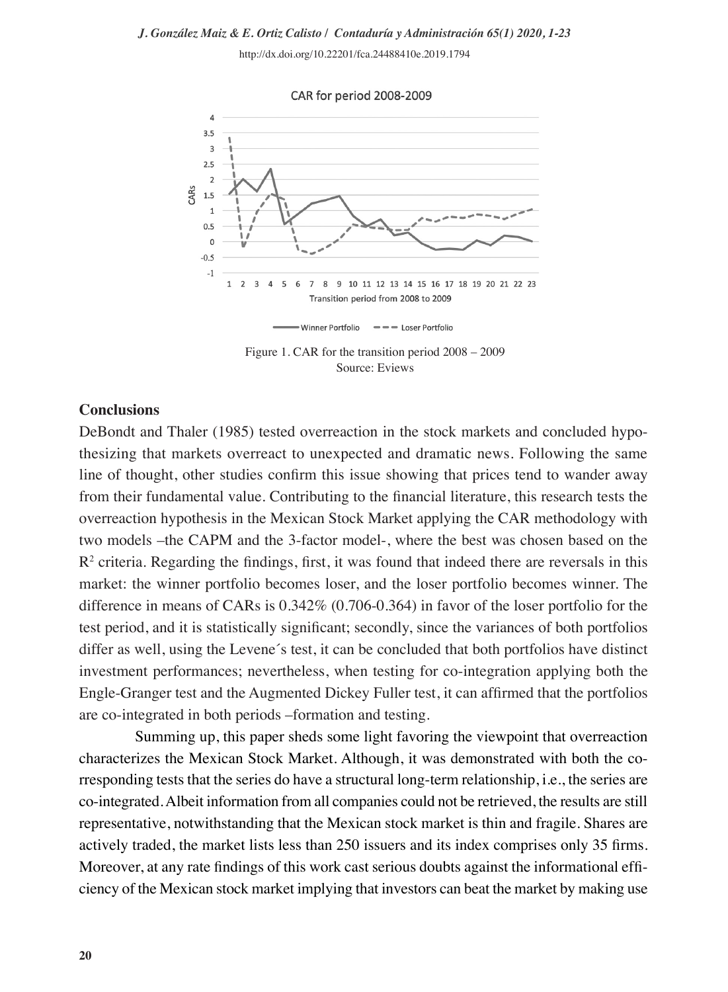# *J. González Maiz & E. Ortiz Calisto / Contaduría y Administración 65(1) 2020, 1-23*

http://dx.doi.org/10.22201/fca.24488410e.2019.1794



Source: Eviews

#### **Conclusions**

DeBondt and Thaler (1985) tested overreaction in the stock markets and concluded hypothesizing that markets overreact to unexpected and dramatic news. Following the same line of thought, other studies confirm this issue showing that prices tend to wander away from their fundamental value. Contributing to the financial literature, this research tests the overreaction hypothesis in the Mexican Stock Market applying the CAR methodology with two models –the CAPM and the 3-factor model-, where the best was chosen based on the  $R<sup>2</sup>$  criteria. Regarding the findings, first, it was found that indeed there are reversals in this market: the winner portfolio becomes loser, and the loser portfolio becomes winner. The difference in means of CARs is 0.342% (0.706-0.364) in favor of the loser portfolio for the test period, and it is statistically significant; secondly, since the variances of both portfolios differ as well, using the Levene´s test, it can be concluded that both portfolios have distinct investment performances; nevertheless, when testing for co-integration applying both the Engle-Granger test and the Augmented Dickey Fuller test, it can affirmed that the portfolios are co-integrated in both periods –formation and testing.

Summing up, this paper sheds some light favoring the viewpoint that overreaction characterizes the Mexican Stock Market. Although, it was demonstrated with both the corresponding tests that the series do have a structural long-term relationship, i.e., the series are co-integrated. Albeit information from all companies could not be retrieved, the results are still representative, notwithstanding that the Mexican stock market is thin and fragile. Shares are actively traded, the market lists less than 250 issuers and its index comprises only 35 firms. Moreover, at any rate findings of this work cast serious doubts against the informational efficiency of the Mexican stock market implying that investors can beat the market by making use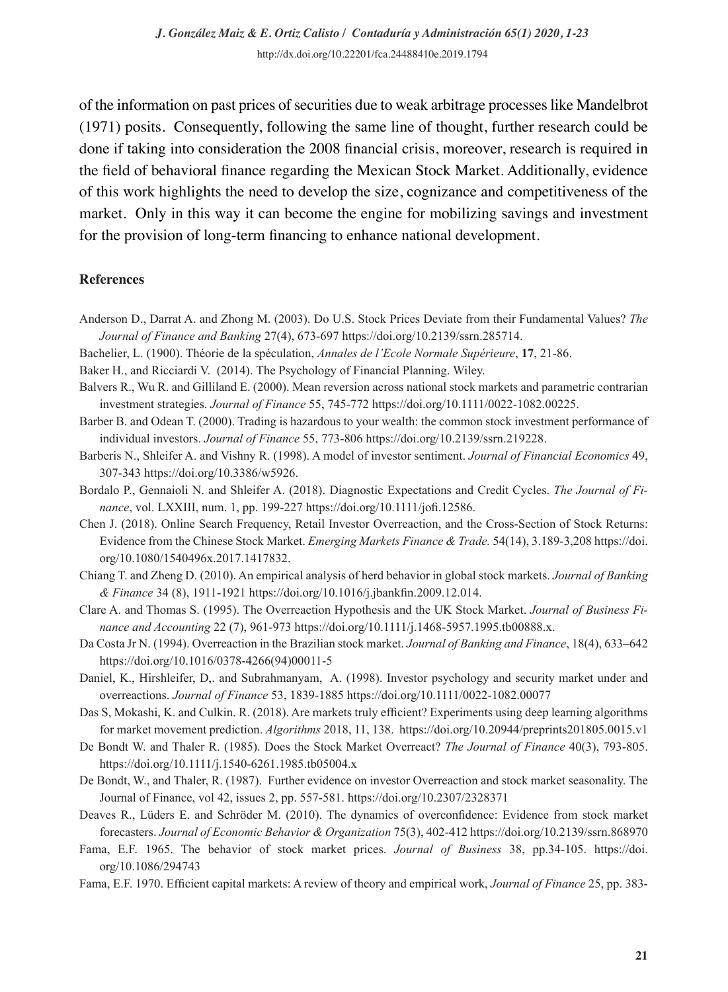of the information on past prices of securities due to weak arbitrage processes like Mandelbrot (1971) posits. Consequently, following the same line of thought, further research could be done if taking into consideration the 2008 financial crisis, moreover, research is required in the field of behavioral finance regarding the Mexican Stock Market. Additionally, evidence of this work highlights the need to develop the size, cognizance and competitiveness of the market. Only in this way it can become the engine for mobilizing savings and investment for the provision of long-term financing to enhance national development.

#### **References**

- Anderson D., Darrat A. and Zhong M. (2003). Do U.S. Stock Prices Deviate from their Fundamental Values? *The Journal of Finance and Banking* 27(4), 673-697 https://doi.org/10.2139/ssrn.285714.
- Bachelier, L. (1900). Théorie de la spéculation, *Annales de l'Ecole Normale Supérieure*, **17**, 21-86.
- Baker H., and Ricciardi V. (2014). The Psychology of Financial Planning. Wiley.
- Balvers R., Wu R. and Gilliland E. (2000). Mean reversion across national stock markets and parametric contrarian investment strategies. *Journal of Finance* 55, 745-772 https://doi.org/10.1111/0022-1082.00225.
- Barber B. and Odean T. (2000). Trading is hazardous to your wealth: the common stock investment performance of individual investors. *Journal of Finance* 55, 773-806 https://doi.org/10.2139/ssrn.219228.
- Barberis N., Shleifer A. and Vishny R. (1998). A model of investor sentiment. *Journal of Financial Economics* 49, 307-343 https://doi.org/10.3386/w5926.
- Bordalo P., Gennaioli N. and Shleifer A. (2018). Diagnostic Expectations and Credit Cycles. *The Journal of Finance*, vol. LXXIII, num. 1, pp. 199-227 https://doi.org/10.1111/jofi.12586.
- Chen J. (2018). Online Search Frequency, Retail Investor Overreaction, and the Cross-Section of Stock Returns: Evidence from the Chinese Stock Market. *Emerging Markets Finance & Trade.* 54(14), 3.189-3,208 https://doi. org/10.1080/1540496x.2017.1417832.
- Chiang T. and Zheng D. (2010). An empirical analysis of herd behavior in global stock markets. *Journal of Banking & Finance* 34 (8), 1911-1921 https://doi.org/10.1016/j.jbankfin.2009.12.014.
- Clare A. and Thomas S. (1995). The Overreaction Hypothesis and the UK Stock Market. *Journal of Business Finance and Accounting* 22 (7), 961-973 https://doi.org/10.1111/j.1468-5957.1995.tb00888.x.
- Da Costa Jr N. (1994). Overreaction in the Brazilian stock market. *Journal of Banking and Finance*, 18(4), 633–642 https://doi.org/10.1016/0378-4266(94)00011-5
- Daniel, K., Hirshleifer, D,. and Subrahmanyam, A. (1998). Investor psychology and security market under and overreactions. *Journal of Finance* 53, 1839-1885 https://doi.org/10.1111/0022-1082.00077
- Das S, Mokashi, K. and Culkin. R. (2018). Are markets truly efficient? Experiments using deep learning algorithms for market movement prediction. *Algorithms* 2018, 11, 138. https://doi.org/10.20944/preprints201805.0015.v1
- De Bondt W. and Thaler R. (1985). Does the Stock Market Overreact? *The Journal of Finance* 40(3), 793-805. https://doi.org/10.1111/j.1540-6261.1985.tb05004.x
- De Bondt, W., and Thaler, R. (1987). Further evidence on investor Overreaction and stock market seasonality. The Journal of Finance, vol 42, issues 2, pp. 557-581. https://doi.org/10.2307/2328371
- Deaves R., Lüders E. and Schröder M. (2010). The dynamics of overconfidence: Evidence from stock market forecasters. *Journal of Economic Behavior & Organization* 75(3), 402-412 https://doi.org/10.2139/ssrn.868970
- Fama, E.F. 1965. The behavior of stock market prices. *Journal of Business* 38, pp.34-105. https://doi. org/10.1086/294743
- Fama, E.F. 1970. Efficient capital markets: A review of theory and empirical work, *Journal of Finance* 25, pp. 383-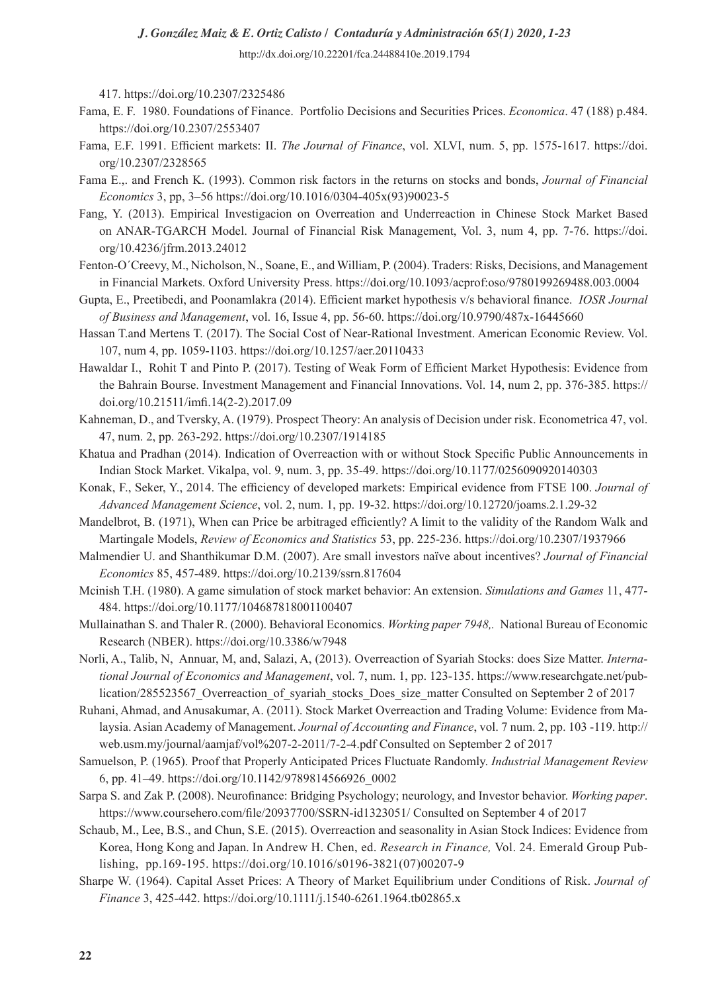# *J. González Maiz & E. Ortiz Calisto / Contaduría y Administración 65(1) 2020, 1-23*

http://dx.doi.org/10.22201/fca.24488410e.2019.1794

417. https://doi.org/10.2307/2325486

- Fama, E. F. 1980. Foundations of Finance. Portfolio Decisions and Securities Prices. *Economica*. 47 (188) p.484. https://doi.org/10.2307/2553407
- Fama, E.F. 1991. Efficient markets: II. *The Journal of Finance*, vol. XLVI, num. 5, pp. 1575-1617. https://doi. org/10.2307/2328565
- Fama E.,. and French K. (1993). Common risk factors in the returns on stocks and bonds, *Journal of Financial Economics* 3, pp, 3–56 https://doi.org/10.1016/0304-405x(93)90023-5
- Fang, Y. (2013). Empirical Investigacion on Overreation and Underreaction in Chinese Stock Market Based on ANAR-TGARCH Model. Journal of Financial Risk Management, Vol. 3, num 4, pp. 7-76. https://doi. org/10.4236/jfrm.2013.24012
- Fenton-O´Creevy, M., Nicholson, N., Soane, E., and William, P. (2004). Traders: Risks, Decisions, and Management in Financial Markets. Oxford University Press. https://doi.org/10.1093/acprof:oso/9780199269488.003.0004
- Gupta, E., Preetibedi, and Poonamlakra (2014). Efficient market hypothesis v/s behavioral finance. *IOSR Journal of Business and Management*, vol. 16, Issue 4, pp. 56-60. https://doi.org/10.9790/487x-16445660
- Hassan T.and Mertens T. (2017). The Social Cost of Near-Rational Investment. American Economic Review. Vol. 107, num 4, pp. 1059-1103. https://doi.org/10.1257/aer.20110433
- Hawaldar I., Rohit T and Pinto P. (2017). Testing of Weak Form of Efficient Market Hypothesis: Evidence from the Bahrain Bourse. Investment Management and Financial Innovations. Vol. 14, num 2, pp. 376-385. https:// doi.org/10.21511/imfi.14(2-2).2017.09
- Kahneman, D., and Tversky, A. (1979). Prospect Theory: An analysis of Decision under risk. Econometrica 47, vol. 47, num. 2, pp. 263-292. https://doi.org/10.2307/1914185
- Khatua and Pradhan (2014). Indication of Overreaction with or without Stock Specific Public Announcements in Indian Stock Market. Vikalpa, vol. 9, num. 3, pp. 35-49. https://doi.org/10.1177/0256090920140303
- Konak, F., Seker, Y., 2014. The efficiency of developed markets: Empirical evidence from FTSE 100. *Journal of Advanced Management Science*, vol. 2, num. 1, pp. 19-32. https://doi.org/10.12720/joams.2.1.29-32
- Mandelbrot, B. (1971), When can Price be arbitraged efficiently? A limit to the validity of the Random Walk and Martingale Models, *Review of Economics and Statistics* 53, pp. 225-236. https://doi.org/10.2307/1937966
- Malmendier U. and Shanthikumar D.M. (2007). Are small investors naïve about incentives? *Journal of Financial Economics* 85, 457-489. https://doi.org/10.2139/ssrn.817604
- Mcinish T.H. (1980). A game simulation of stock market behavior: An extension. *Simulations and Games* 11, 477- 484. https://doi.org/10.1177/104687818001100407
- Mullainathan S. and Thaler R. (2000). Behavioral Economics. *Working paper 7948,.* National Bureau of Economic Research (NBER). https://doi.org/10.3386/w7948
- Norli, A., Talib, N, Annuar, M, and, Salazi, A, (2013). Overreaction of Syariah Stocks: does Size Matter. *International Journal of Economics and Management*, vol. 7, num. 1, pp. 123-135. https://www.researchgate.net/publication/285523567\_Overreaction\_of\_syariah\_stocks\_Does\_size\_matter Consulted on September 2 of 2017
- Ruhani, Ahmad, and Anusakumar, A. (2011). Stock Market Overreaction and Trading Volume: Evidence from Malaysia. Asian Academy of Management. *Journal of Accounting and Finance*, vol. 7 num. 2, pp. 103 -119. http:// web.usm.my/journal/aamjaf/vol%207-2-2011/7-2-4.pdf Consulted on September 2 of 2017
- Samuelson, P. (1965). Proof that Properly Anticipated Prices Fluctuate Randomly. *Industrial Management Review* 6, pp. 41–49. https://doi.org/10.1142/9789814566926\_0002
- Sarpa S. and Zak P. (2008). Neurofinance: Bridging Psychology; neurology, and Investor behavior. *Working paper*. https://www.coursehero.com/file/20937700/SSRN-id1323051/ Consulted on September 4 of 2017
- Schaub, M., Lee, B.S., and Chun, S.E. (2015). Overreaction and seasonality in Asian Stock Indices: Evidence from Korea, Hong Kong and Japan. In Andrew H. Chen, ed. *Research in Finance,* Vol. 24. Emerald Group Publishing, pp.169-195. https://doi.org/10.1016/s0196-3821(07)00207-9
- Sharpe W. (1964). Capital Asset Prices: A Theory of Market Equilibrium under Conditions of Risk. *Journal of Finance* 3, 425-442. https://doi.org/10.1111/j.1540-6261.1964.tb02865.x